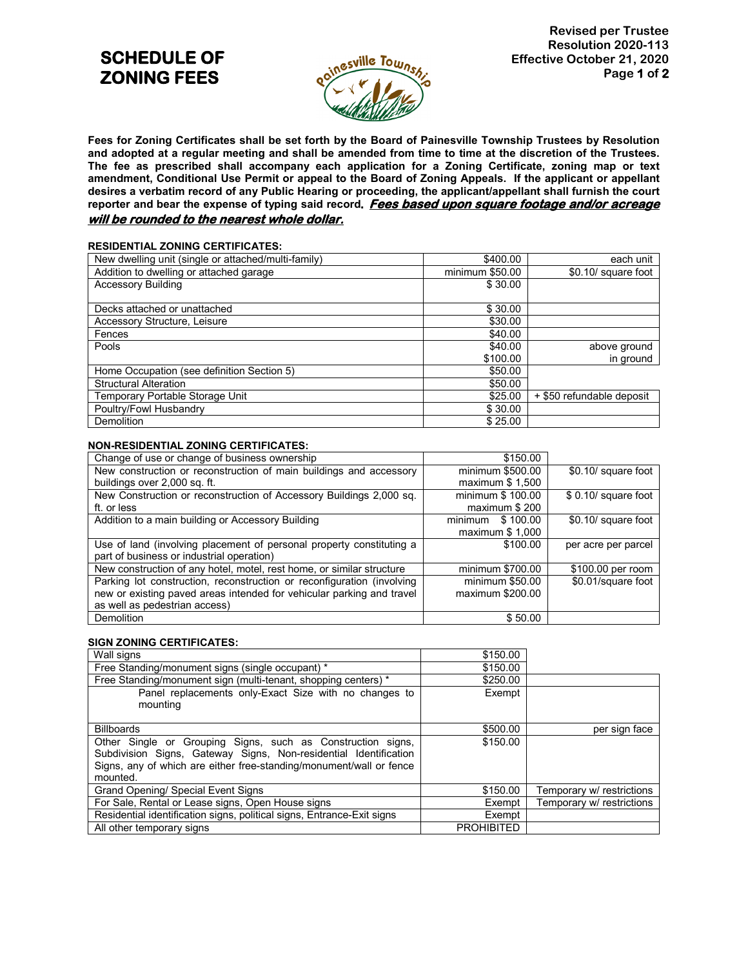# **SCHEDULE OF ZONING FEES**



**Fees for Zoning Certificates shall be set forth by the Board of Painesville Township Trustees by Resolution and adopted at a regular meeting and shall be amended from time to time at the discretion of the Trustees. The fee as prescribed shall accompany each application for a Zoning Certificate, zoning map or text amendment, Conditional Use Permit or appeal to the Board of Zoning Appeals. If the applicant or appellant desires a verbatim record of any Public Hearing or proceeding, the applicant/appellant shall furnish the court reporter and bear the expense of typing said record**. **Fees based upon square footage and/or acreage will be rounded to the nearest whole dollar.**

## **RESIDENTIAL ZONING CERTIFICATES:**

| New dwelling unit (single or attached/multi-family) | \$400.00        | each unit                 |
|-----------------------------------------------------|-----------------|---------------------------|
| Addition to dwelling or attached garage             | minimum \$50.00 | \$0.10/ square foot       |
| <b>Accessory Building</b>                           | \$30.00         |                           |
|                                                     |                 |                           |
| Decks attached or unattached                        | \$30.00         |                           |
| Accessory Structure, Leisure                        | \$30.00         |                           |
| Fences                                              | \$40.00         |                           |
| Pools                                               | \$40.00         | above ground              |
|                                                     | \$100.00        | in ground                 |
| Home Occupation (see definition Section 5)          | \$50.00         |                           |
| <b>Structural Alteration</b>                        | \$50.00         |                           |
| Temporary Portable Storage Unit                     | \$25.00         | + \$50 refundable deposit |
| Poultry/Fowl Husbandry                              | \$30.00         |                           |
| Demolition                                          | \$25.00         |                           |

## **NON-RESIDENTIAL ZONING CERTIFICATES:**

| Change of use or change of business ownership                          | \$150.00            |                      |
|------------------------------------------------------------------------|---------------------|----------------------|
| New construction or reconstruction of main buildings and accessory     | minimum \$500.00    | \$0.10/ square foot  |
| buildings over 2,000 sq. ft.                                           | maximum $$1,500$    |                      |
| New Construction or reconstruction of Accessory Buildings 2,000 sq.    | minimum \$ 100.00   | \$ 0.10/ square foot |
| ft. or less                                                            | maximum \$200       |                      |
| Addition to a main building or Accessory Building                      | minimum<br>\$100.00 | \$0.10/ square foot  |
|                                                                        | maximum \$ 1,000    |                      |
| Use of land (involving placement of personal property constituting a   | \$100.00            | per acre per parcel  |
| part of business or industrial operation)                              |                     |                      |
| New construction of any hotel, motel, rest home, or similar structure  | minimum \$700.00    | \$100.00 per room    |
| Parking lot construction, reconstruction or reconfiguration (involving | minimum \$50.00     | \$0.01/square foot   |
| new or existing paved areas intended for vehicular parking and travel  | maximum \$200.00    |                      |
| as well as pedestrian access)                                          |                     |                      |
| <b>Demolition</b>                                                      | \$50.00             |                      |

## **SIGN ZONING CERTIFICATES:**

| Wall signs                                                                                                                                                                                                         | \$150.00          |                           |
|--------------------------------------------------------------------------------------------------------------------------------------------------------------------------------------------------------------------|-------------------|---------------------------|
| Free Standing/monument signs (single occupant) *                                                                                                                                                                   | \$150.00          |                           |
| Free Standing/monument sign (multi-tenant, shopping centers) *                                                                                                                                                     | \$250.00          |                           |
| Panel replacements only-Exact Size with no changes to<br>mounting                                                                                                                                                  | Exempt            |                           |
| <b>Billboards</b>                                                                                                                                                                                                  | \$500.00          | per sign face             |
| Other Single or Grouping Signs, such as Construction signs,<br>Subdivision Signs, Gateway Signs, Non-residential Identification<br>Signs, any of which are either free-standing/monument/wall or fence<br>mounted. | \$150.00          |                           |
| Grand Opening/ Special Event Signs                                                                                                                                                                                 | \$150.00          | Temporary w/ restrictions |
| For Sale, Rental or Lease signs, Open House signs                                                                                                                                                                  | Exempt            | Temporary w/ restrictions |
| Residential identification signs, political signs, Entrance-Exit signs                                                                                                                                             | Exempt            |                           |
| All other temporary signs                                                                                                                                                                                          | <b>PROHIBITED</b> |                           |